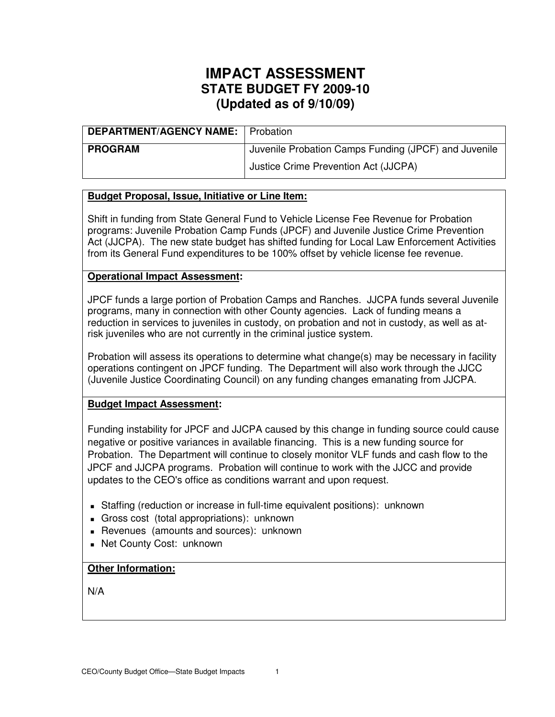| <b>DEPARTMENT/AGENCY NAME:</b> Probation |                                                      |
|------------------------------------------|------------------------------------------------------|
| <b>PROGRAM</b>                           | Juvenile Probation Camps Funding (JPCF) and Juvenile |
|                                          | Justice Crime Prevention Act (JJCPA)                 |

## **Budget Proposal, Issue, Initiative or Line Item:**

Shift in funding from State General Fund to Vehicle License Fee Revenue for Probation programs: Juvenile Probation Camp Funds (JPCF) and Juvenile Justice Crime Prevention Act (JJCPA). The new state budget has shifted funding for Local Law Enforcement Activities from its General Fund expenditures to be 100% offset by vehicle license fee revenue.

### **Operational Impact Assessment:**

JPCF funds a large portion of Probation Camps and Ranches. JJCPA funds several Juvenile programs, many in connection with other County agencies. Lack of funding means a reduction in services to juveniles in custody, on probation and not in custody, as well as atrisk juveniles who are not currently in the criminal justice system.

Probation will assess its operations to determine what change(s) may be necessary in facility operations contingent on JPCF funding. The Department will also work through the JJCC (Juvenile Justice Coordinating Council) on any funding changes emanating from JJCPA.

#### **Budget Impact Assessment:**

Funding instability for JPCF and JJCPA caused by this change in funding source could cause negative or positive variances in available financing. This is a new funding source for Probation. The Department will continue to closely monitor VLF funds and cash flow to the JPCF and JJCPA programs. Probation will continue to work with the JJCC and provide updates to the CEO's office as conditions warrant and upon request.

- Staffing (reduction or increase in full-time equivalent positions): unknown
- Gross cost (total appropriations): unknown
- Revenues (amounts and sources): unknown
- Net County Cost: unknown

### **Other Information:**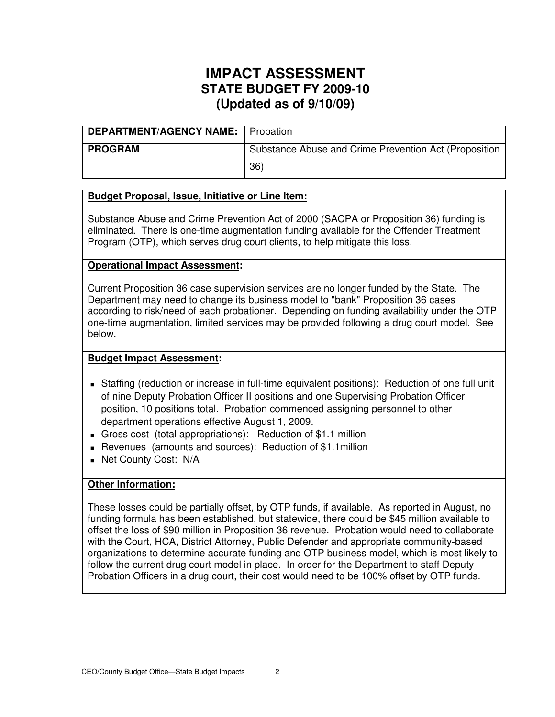| <b>DEPARTMENT/AGENCY NAME:</b> Probation |                                                       |
|------------------------------------------|-------------------------------------------------------|
| <b>PROGRAM</b>                           | Substance Abuse and Crime Prevention Act (Proposition |
|                                          | 36)                                                   |

## **Budget Proposal, Issue, Initiative or Line Item:**

Substance Abuse and Crime Prevention Act of 2000 (SACPA or Proposition 36) funding is eliminated. There is one-time augmentation funding available for the Offender Treatment Program (OTP), which serves drug court clients, to help mitigate this loss.

## **Operational Impact Assessment:**

Current Proposition 36 case supervision services are no longer funded by the State. The Department may need to change its business model to "bank" Proposition 36 cases according to risk/need of each probationer. Depending on funding availability under the OTP one-time augmentation, limited services may be provided following a drug court model. See below.

## **Budget Impact Assessment:**

- Staffing (reduction or increase in full-time equivalent positions): Reduction of one full unit of nine Deputy Probation Officer II positions and one Supervising Probation Officer position, 10 positions total. Probation commenced assigning personnel to other department operations effective August 1, 2009.
- Gross cost (total appropriations): Reduction of \$1.1 million
- Revenues (amounts and sources): Reduction of \$1.1million
- **Net County Cost: N/A**

## **Other Information:**

These losses could be partially offset, by OTP funds, if available. As reported in August, no funding formula has been established, but statewide, there could be \$45 million available to offset the loss of \$90 million in Proposition 36 revenue. Probation would need to collaborate with the Court, HCA, District Attorney, Public Defender and appropriate community-based organizations to determine accurate funding and OTP business model, which is most likely to follow the current drug court model in place. In order for the Department to staff Deputy Probation Officers in a drug court, their cost would need to be 100% offset by OTP funds.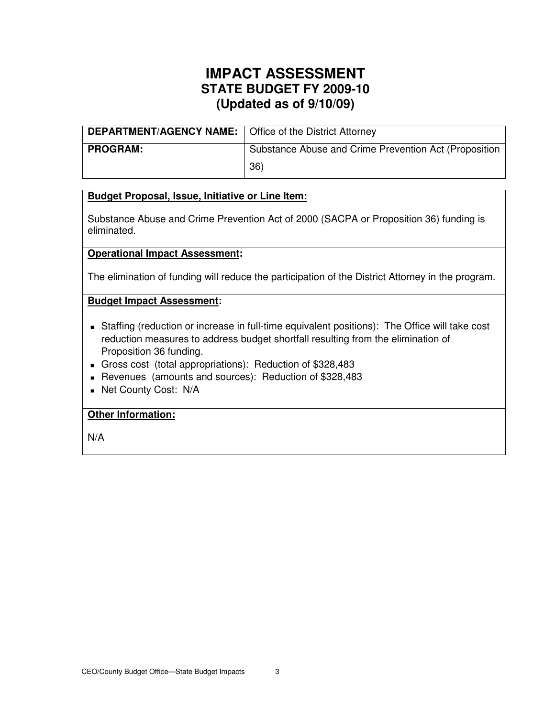| <b>DEPARTMENT/AGENCY NAME:</b>   Office of the District Attorney |                                                       |
|------------------------------------------------------------------|-------------------------------------------------------|
| <b>PROGRAM:</b>                                                  | Substance Abuse and Crime Prevention Act (Proposition |
|                                                                  | 36)                                                   |

## **Budget Proposal, Issue, Initiative or Line Item:**

Substance Abuse and Crime Prevention Act of 2000 (SACPA or Proposition 36) funding is eliminated.

### **Operational Impact Assessment:**

The elimination of funding will reduce the participation of the District Attorney in the program.

### **Budget Impact Assessment:**

- Staffing (reduction or increase in full-time equivalent positions): The Office will take cost reduction measures to address budget shortfall resulting from the elimination of Proposition 36 funding.
- Gross cost (total appropriations): Reduction of \$328,483
- Revenues (amounts and sources): Reduction of \$328,483
- **Net County Cost: N/A**

## **Other Information:**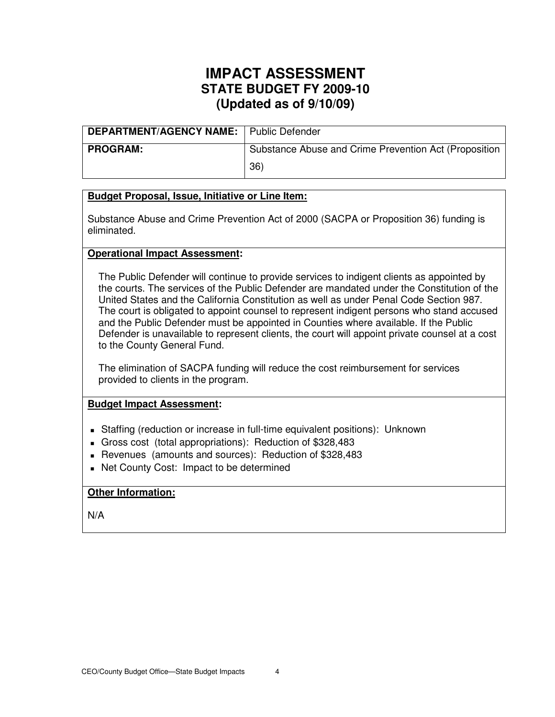| <b>DEPARTMENT/AGENCY NAME:</b> Public Defender |                                                       |
|------------------------------------------------|-------------------------------------------------------|
| <b>PROGRAM:</b>                                | Substance Abuse and Crime Prevention Act (Proposition |
|                                                | 36)                                                   |

## **Budget Proposal, Issue, Initiative or Line Item:**

Substance Abuse and Crime Prevention Act of 2000 (SACPA or Proposition 36) funding is eliminated.

### **Operational Impact Assessment:**

The Public Defender will continue to provide services to indigent clients as appointed by the courts. The services of the Public Defender are mandated under the Constitution of the United States and the California Constitution as well as under Penal Code Section 987. The court is obligated to appoint counsel to represent indigent persons who stand accused and the Public Defender must be appointed in Counties where available. If the Public Defender is unavailable to represent clients, the court will appoint private counsel at a cost to the County General Fund.

The elimination of SACPA funding will reduce the cost reimbursement for services provided to clients in the program.

#### **Budget Impact Assessment:**

- Staffing (reduction or increase in full-time equivalent positions): Unknown
- Gross cost (total appropriations): Reduction of \$328,483
- Revenues (amounts and sources): Reduction of \$328,483
- Net County Cost: Impact to be determined

#### **Other Information:**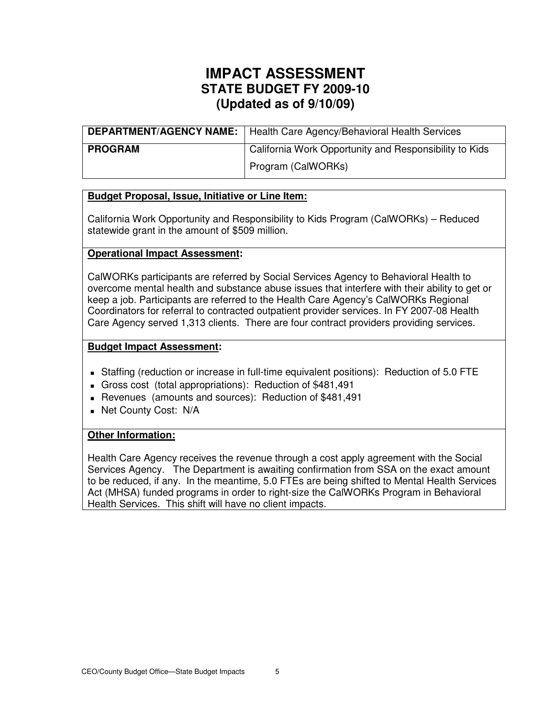| <b>DEPARTMENT/AGENCY NAME:</b> | Health Care Agency/Behavioral Health Services          |
|--------------------------------|--------------------------------------------------------|
| <b>PROGRAM</b>                 | California Work Opportunity and Responsibility to Kids |
|                                | Program (CalWORKs)                                     |

## **Budget Proposal, Issue, Initiative or Line Item:**

California Work Opportunity and Responsibility to Kids Program (CalWORKs) – Reduced statewide grant in the amount of \$509 million.

### **Operational Impact Assessment:**

CalWORKs participants are referred by Social Services Agency to Behavioral Health to overcome mental health and substance abuse issues that interfere with their ability to get or keep a job. Participants are referred to the Health Care Agency's CalWORKs Regional Coordinators for referral to contracted outpatient provider services. In FY 2007-08 Health Care Agency served 1,313 clients. There are four contract providers providing services.

### **Budget Impact Assessment:**

- Staffing (reduction or increase in full-time equivalent positions): Reduction of 5.0 FTE
- Gross cost (total appropriations): Reduction of \$481,491
- Revenues (amounts and sources): Reduction of \$481,491
- **Net County Cost: N/A**

#### **Other Information:**

Health Care Agency receives the revenue through a cost apply agreement with the Social Services Agency. The Department is awaiting confirmation from SSA on the exact amount to be reduced, if any. In the meantime, 5.0 FTEs are being shifted to Mental Health Services Act (MHSA) funded programs in order to right-size the CalWORKs Program in Behavioral Health Services. This shift will have no client impacts.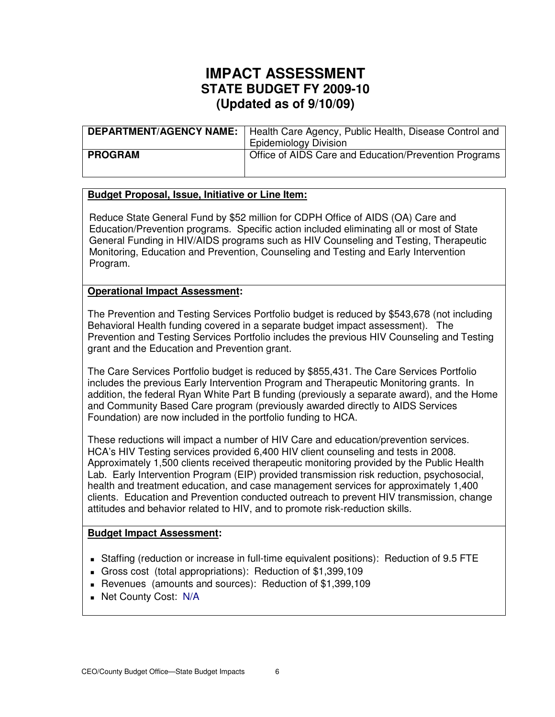|                | <b>DEPARTMENT/AGENCY NAME:</b>   Health Care Agency, Public Health, Disease Control and<br><b>Epidemiology Division</b> |
|----------------|-------------------------------------------------------------------------------------------------------------------------|
| <b>PROGRAM</b> | Office of AIDS Care and Education/Prevention Programs                                                                   |

## **Budget Proposal, Issue, Initiative or Line Item:**

Reduce State General Fund by \$52 million for CDPH Office of AIDS (OA) Care and Education/Prevention programs. Specific action included eliminating all or most of State General Funding in HIV/AIDS programs such as HIV Counseling and Testing, Therapeutic Monitoring, Education and Prevention, Counseling and Testing and Early Intervention Program.

### **Operational Impact Assessment:**

The Prevention and Testing Services Portfolio budget is reduced by \$543,678 (not including Behavioral Health funding covered in a separate budget impact assessment). The Prevention and Testing Services Portfolio includes the previous HIV Counseling and Testing grant and the Education and Prevention grant.

The Care Services Portfolio budget is reduced by \$855,431. The Care Services Portfolio includes the previous Early Intervention Program and Therapeutic Monitoring grants. In addition, the federal Ryan White Part B funding (previously a separate award), and the Home and Community Based Care program (previously awarded directly to AIDS Services Foundation) are now included in the portfolio funding to HCA.

These reductions will impact a number of HIV Care and education/prevention services. HCA's HIV Testing services provided 6,400 HIV client counseling and tests in 2008. Approximately 1,500 clients received therapeutic monitoring provided by the Public Health Lab. Early Intervention Program (EIP) provided transmission risk reduction, psychosocial, health and treatment education, and case management services for approximately 1,400 clients. Education and Prevention conducted outreach to prevent HIV transmission, change attitudes and behavior related to HIV, and to promote risk-reduction skills.

#### **Budget Impact Assessment:**

- Staffing (reduction or increase in full-time equivalent positions): Reduction of 9.5 FTE
- Gross cost (total appropriations): Reduction of \$1,399,109
- Revenues (amounts and sources): Reduction of \$1,399,109
- **Net County Cost: N/A**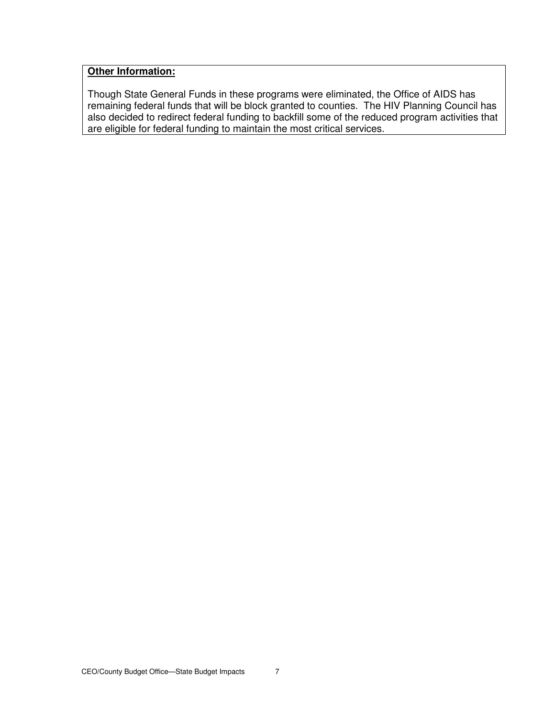## **Other Information:**

Though State General Funds in these programs were eliminated, the Office of AIDS has remaining federal funds that will be block granted to counties. The HIV Planning Council has also decided to redirect federal funding to backfill some of the reduced program activities that are eligible for federal funding to maintain the most critical services.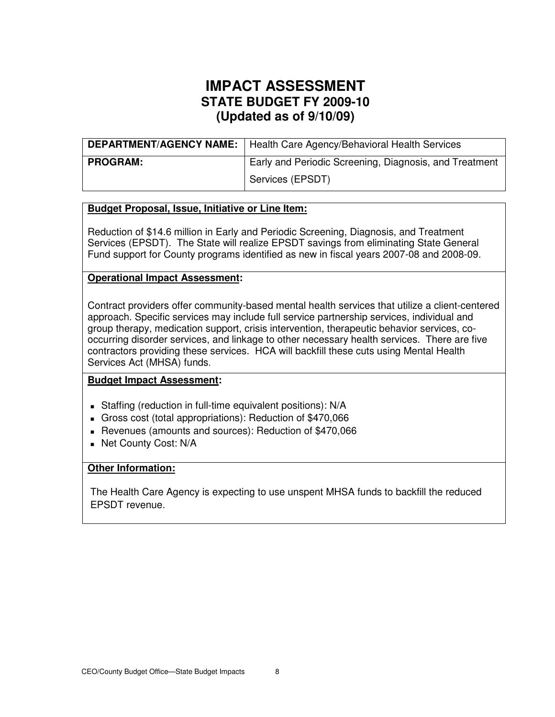|                 | <b>DEPARTMENT/AGENCY NAME:</b>   Health Care Agency/Behavioral Health Services |
|-----------------|--------------------------------------------------------------------------------|
| <b>PROGRAM:</b> | Early and Periodic Screening, Diagnosis, and Treatment                         |
|                 | Services (EPSDT)                                                               |

## **Budget Proposal, Issue, Initiative or Line Item:**

Reduction of \$14.6 million in Early and Periodic Screening, Diagnosis, and Treatment Services (EPSDT). The State will realize EPSDT savings from eliminating State General Fund support for County programs identified as new in fiscal years 2007-08 and 2008-09.

### **Operational Impact Assessment:**

Contract providers offer community-based mental health services that utilize a client-centered approach. Specific services may include full service partnership services, individual and group therapy, medication support, crisis intervention, therapeutic behavior services, cooccurring disorder services, and linkage to other necessary health services. There are five contractors providing these services. HCA will backfill these cuts using Mental Health Services Act (MHSA) funds.

## **Budget Impact Assessment:**

- Staffing (reduction in full-time equivalent positions): N/A
- Gross cost (total appropriations): Reduction of \$470,066
- Revenues (amounts and sources): Reduction of \$470,066
- **Net County Cost: N/A**

## **Other Information:**

The Health Care Agency is expecting to use unspent MHSA funds to backfill the reduced EPSDT revenue.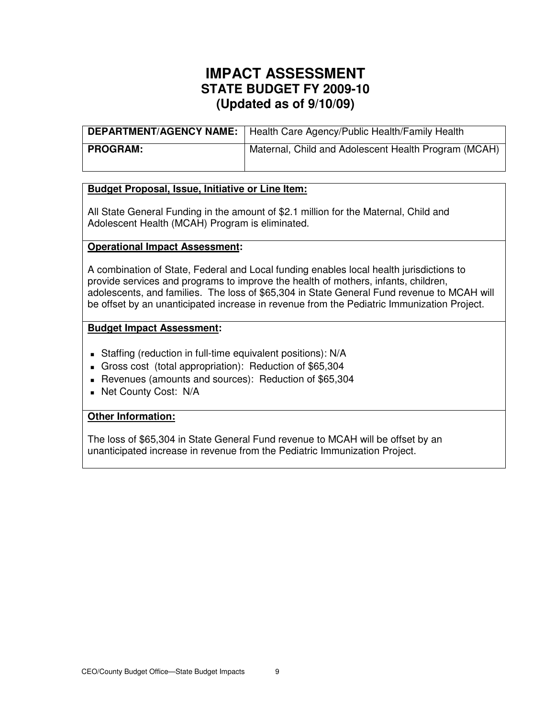|                 | <b>DEPARTMENT/AGENCY NAME:</b>   Health Care Agency/Public Health/Family Health |
|-----------------|---------------------------------------------------------------------------------|
| <b>PROGRAM:</b> | Maternal, Child and Adolescent Health Program (MCAH)                            |

## **Budget Proposal, Issue, Initiative or Line Item:**

All State General Funding in the amount of \$2.1 million for the Maternal, Child and Adolescent Health (MCAH) Program is eliminated.

### **Operational Impact Assessment:**

A combination of State, Federal and Local funding enables local health jurisdictions to provide services and programs to improve the health of mothers, infants, children, adolescents, and families. The loss of \$65,304 in State General Fund revenue to MCAH will be offset by an unanticipated increase in revenue from the Pediatric Immunization Project.

### **Budget Impact Assessment:**

- Staffing (reduction in full-time equivalent positions): N/A
- Gross cost (total appropriation): Reduction of \$65,304
- Revenues (amounts and sources): Reduction of \$65,304
- **Net County Cost: N/A**

## **Other Information:**

The loss of \$65,304 in State General Fund revenue to MCAH will be offset by an unanticipated increase in revenue from the Pediatric Immunization Project.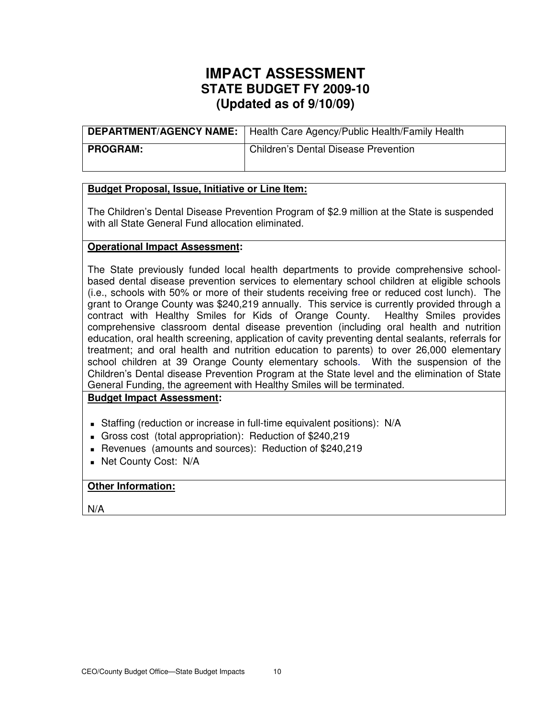|          | DEPARTMENT/AGENCY NAME:   Health Care Agency/Public Health/Family Health |
|----------|--------------------------------------------------------------------------|
| PROGRAM: | <b>Children's Dental Disease Prevention</b>                              |

## **Budget Proposal, Issue, Initiative or Line Item:**

The Children's Dental Disease Prevention Program of \$2.9 million at the State is suspended with all State General Fund allocation eliminated.

### **Operational Impact Assessment:**

The State previously funded local health departments to provide comprehensive schoolbased dental disease prevention services to elementary school children at eligible schools (i.e., schools with 50% or more of their students receiving free or reduced cost lunch). The grant to Orange County was \$240,219 annually. This service is currently provided through a contract with Healthy Smiles for Kids of Orange County. Healthy Smiles provides comprehensive classroom dental disease prevention (including oral health and nutrition education, oral health screening, application of cavity preventing dental sealants, referrals for treatment; and oral health and nutrition education to parents) to over 26,000 elementary school children at 39 Orange County elementary schools. With the suspension of the Children's Dental disease Prevention Program at the State level and the elimination of State General Funding, the agreement with Healthy Smiles will be terminated.

## **Budget Impact Assessment:**

- Staffing (reduction or increase in full-time equivalent positions): N/A
- Gross cost (total appropriation): Reduction of \$240,219
- Revenues (amounts and sources): Reduction of \$240,219
- Net County Cost: N/A

## **Other Information:**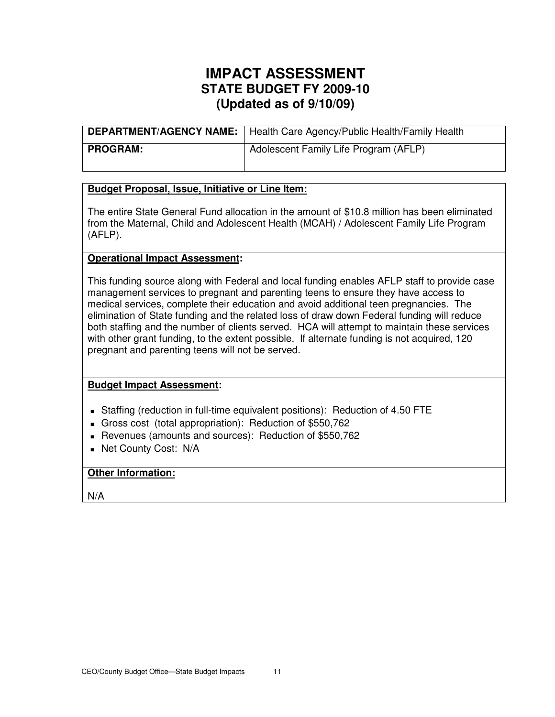|            | DEPARTMENT/AGENCY NAME:   Health Care Agency/Public Health/Family Health |
|------------|--------------------------------------------------------------------------|
| I PROGRAM: | Adolescent Family Life Program (AFLP)                                    |

### **Budget Proposal, Issue, Initiative or Line Item:**

The entire State General Fund allocation in the amount of \$10.8 million has been eliminated from the Maternal, Child and Adolescent Health (MCAH) / Adolescent Family Life Program (AFLP).

### **Operational Impact Assessment:**

This funding source along with Federal and local funding enables AFLP staff to provide case management services to pregnant and parenting teens to ensure they have access to medical services, complete their education and avoid additional teen pregnancies. The elimination of State funding and the related loss of draw down Federal funding will reduce both staffing and the number of clients served. HCA will attempt to maintain these services with other grant funding, to the extent possible. If alternate funding is not acquired, 120 pregnant and parenting teens will not be served.

#### **Budget Impact Assessment:**

- Staffing (reduction in full-time equivalent positions): Reduction of 4.50 FTE
- Gross cost (total appropriation): Reduction of \$550,762
- Revenues (amounts and sources): Reduction of \$550,762
- Net County Cost: N/A

## **Other Information:**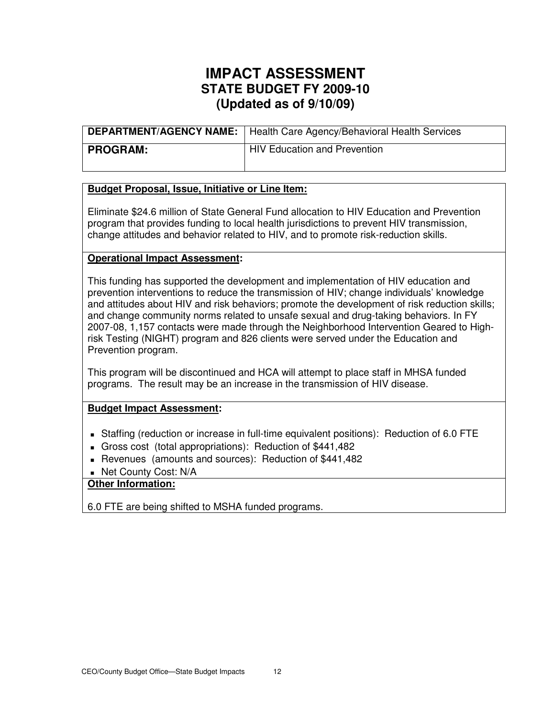|                 | <b>DEPARTMENT/AGENCY NAME:</b>   Health Care Agency/Behavioral Health Services |
|-----------------|--------------------------------------------------------------------------------|
| <b>PROGRAM:</b> | <b>HIV Education and Prevention</b>                                            |

### **Budget Proposal, Issue, Initiative or Line Item:**

Eliminate \$24.6 million of State General Fund allocation to HIV Education and Prevention program that provides funding to local health jurisdictions to prevent HIV transmission, change attitudes and behavior related to HIV, and to promote risk-reduction skills.

### **Operational Impact Assessment:**

This funding has supported the development and implementation of HIV education and prevention interventions to reduce the transmission of HIV; change individuals' knowledge and attitudes about HIV and risk behaviors; promote the development of risk reduction skills; and change community norms related to unsafe sexual and drug-taking behaviors. In FY 2007-08, 1,157 contacts were made through the Neighborhood Intervention Geared to Highrisk Testing (NIGHT) program and 826 clients were served under the Education and Prevention program.

This program will be discontinued and HCA will attempt to place staff in MHSA funded programs. The result may be an increase in the transmission of HIV disease.

#### **Budget Impact Assessment:**

- Staffing (reduction or increase in full-time equivalent positions): Reduction of 6.0 FTE
- Gross cost (total appropriations): Reduction of \$441,482
- Revenues (amounts and sources): Reduction of \$441,482
- Net County Cost: N/A

## **Other Information:**

6.0 FTE are being shifted to MSHA funded programs.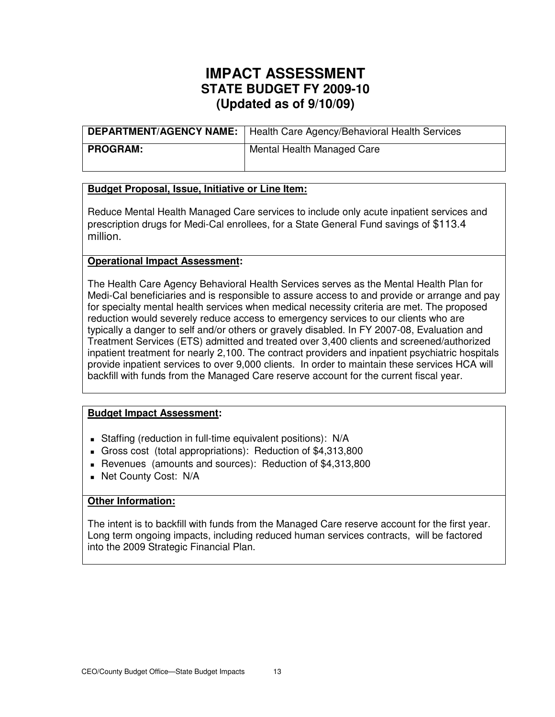|                 | <b>DEPARTMENT/AGENCY NAME:</b>   Health Care Agency/Behavioral Health Services |
|-----------------|--------------------------------------------------------------------------------|
| <b>PROGRAM:</b> | Mental Health Managed Care                                                     |

### **Budget Proposal, Issue, Initiative or Line Item:**

Reduce Mental Health Managed Care services to include only acute inpatient services and prescription drugs for Medi-Cal enrollees, for a State General Fund savings of \$113.4 million.

### **Operational Impact Assessment:**

The Health Care Agency Behavioral Health Services serves as the Mental Health Plan for Medi-Cal beneficiaries and is responsible to assure access to and provide or arrange and pay for specialty mental health services when medical necessity criteria are met. The proposed reduction would severely reduce access to emergency services to our clients who are typically a danger to self and/or others or gravely disabled. In FY 2007-08, Evaluation and Treatment Services (ETS) admitted and treated over 3,400 clients and screened/authorized inpatient treatment for nearly 2,100. The contract providers and inpatient psychiatric hospitals provide inpatient services to over 9,000 clients. In order to maintain these services HCA will backfill with funds from the Managed Care reserve account for the current fiscal year.

## **Budget Impact Assessment:**

- Staffing (reduction in full-time equivalent positions): N/A
- Gross cost (total appropriations): Reduction of \$4,313,800
- Revenues (amounts and sources): Reduction of \$4,313,800
- Net County Cost: N/A

## **Other Information:**

The intent is to backfill with funds from the Managed Care reserve account for the first year. Long term ongoing impacts, including reduced human services contracts, will be factored into the 2009 Strategic Financial Plan.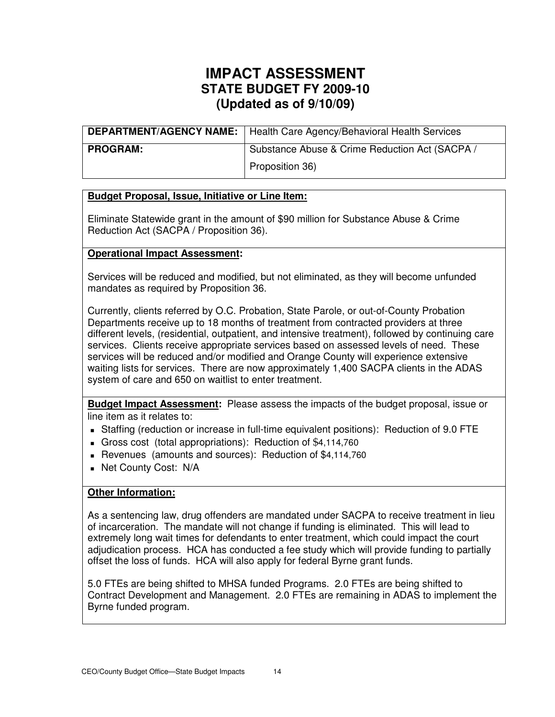|                 | <b>DEPARTMENT/AGENCY NAME:</b>   Health Care Agency/Behavioral Health Services |
|-----------------|--------------------------------------------------------------------------------|
| <b>PROGRAM:</b> | Substance Abuse & Crime Reduction Act (SACPA /                                 |
|                 | Proposition 36)                                                                |

## **Budget Proposal, Issue, Initiative or Line Item:**

Eliminate Statewide grant in the amount of \$90 million for Substance Abuse & Crime Reduction Act (SACPA / Proposition 36).

## **Operational Impact Assessment:**

Services will be reduced and modified, but not eliminated, as they will become unfunded mandates as required by Proposition 36.

Currently, clients referred by O.C. Probation, State Parole, or out-of-County Probation Departments receive up to 18 months of treatment from contracted providers at three different levels, (residential, outpatient, and intensive treatment), followed by continuing care services. Clients receive appropriate services based on assessed levels of need. These services will be reduced and/or modified and Orange County will experience extensive waiting lists for services. There are now approximately 1,400 SACPA clients in the ADAS system of care and 650 on waitlist to enter treatment.

**Budget Impact Assessment:** Please assess the impacts of the budget proposal, issue or line item as it relates to:

- Staffing (reduction or increase in full-time equivalent positions): Reduction of 9.0 FTE
- Gross cost (total appropriations): Reduction of \$4,114,760
- Revenues (amounts and sources): Reduction of \$4,114,760
- **Net County Cost: N/A**

## **Other Information:**

As a sentencing law, drug offenders are mandated under SACPA to receive treatment in lieu of incarceration. The mandate will not change if funding is eliminated. This will lead to extremely long wait times for defendants to enter treatment, which could impact the court adjudication process. HCA has conducted a fee study which will provide funding to partially offset the loss of funds. HCA will also apply for federal Byrne grant funds.

5.0 FTEs are being shifted to MHSA funded Programs. 2.0 FTEs are being shifted to Contract Development and Management. 2.0 FTEs are remaining in ADAS to implement the Byrne funded program.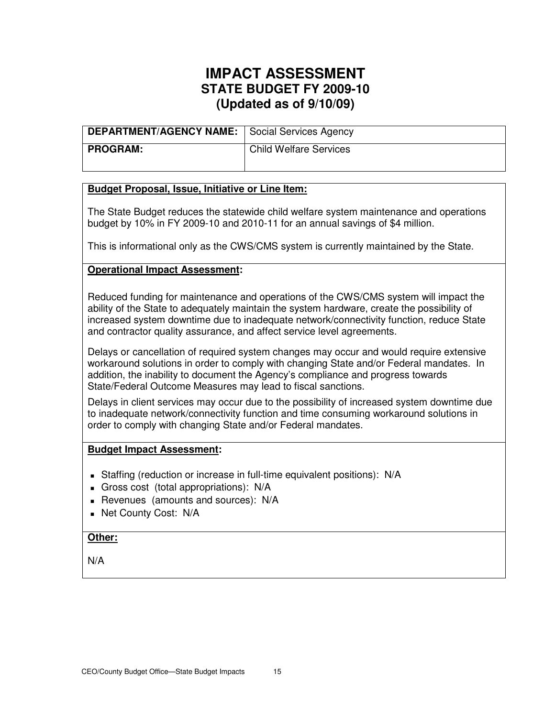| DEPARTMENT/AGENCY NAME: Social Services Agency |                               |
|------------------------------------------------|-------------------------------|
| I PROGRAM:                                     | <b>Child Welfare Services</b> |

### **Budget Proposal, Issue, Initiative or Line Item:**

The State Budget reduces the statewide child welfare system maintenance and operations budget by 10% in FY 2009-10 and 2010-11 for an annual savings of \$4 million.

This is informational only as the CWS/CMS system is currently maintained by the State.

### **Operational Impact Assessment:**

Reduced funding for maintenance and operations of the CWS/CMS system will impact the ability of the State to adequately maintain the system hardware, create the possibility of increased system downtime due to inadequate network/connectivity function, reduce State and contractor quality assurance, and affect service level agreements.

Delays or cancellation of required system changes may occur and would require extensive workaround solutions in order to comply with changing State and/or Federal mandates. In addition, the inability to document the Agency's compliance and progress towards State/Federal Outcome Measures may lead to fiscal sanctions.

Delays in client services may occur due to the possibility of increased system downtime due to inadequate network/connectivity function and time consuming workaround solutions in order to comply with changing State and/or Federal mandates.

#### **Budget Impact Assessment:**

- Staffing (reduction or increase in full-time equivalent positions): N/A
- Gross cost (total appropriations): N/A
- Revenues (amounts and sources): N/A
- **Net County Cost: N/A**

## **Other:**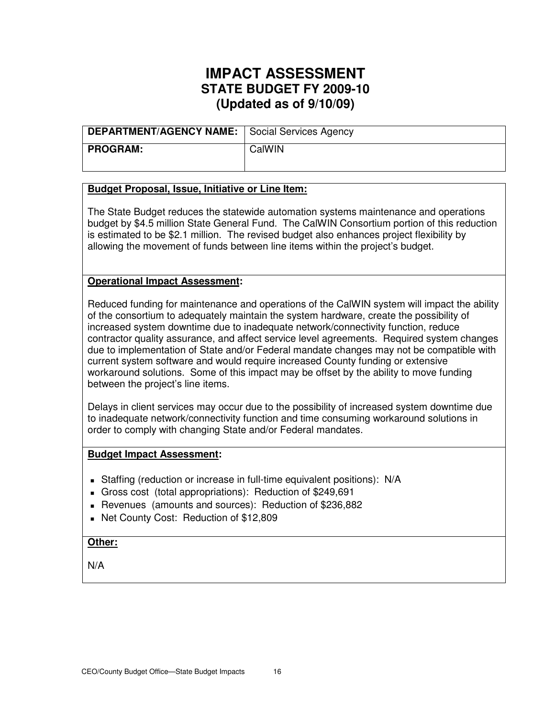| DEPARTMENT/AGENCY NAME: Social Services Agency |        |
|------------------------------------------------|--------|
| PROGRAM:                                       | CalWIN |

### **Budget Proposal, Issue, Initiative or Line Item:**

The State Budget reduces the statewide automation systems maintenance and operations budget by \$4.5 million State General Fund. The CalWIN Consortium portion of this reduction is estimated to be \$2.1 million. The revised budget also enhances project flexibility by allowing the movement of funds between line items within the project's budget.

### **Operational Impact Assessment:**

Reduced funding for maintenance and operations of the CalWIN system will impact the ability of the consortium to adequately maintain the system hardware, create the possibility of increased system downtime due to inadequate network/connectivity function, reduce contractor quality assurance, and affect service level agreements. Required system changes due to implementation of State and/or Federal mandate changes may not be compatible with current system software and would require increased County funding or extensive workaround solutions. Some of this impact may be offset by the ability to move funding between the project's line items.

Delays in client services may occur due to the possibility of increased system downtime due to inadequate network/connectivity function and time consuming workaround solutions in order to comply with changing State and/or Federal mandates.

#### **Budget Impact Assessment:**

- Staffing (reduction or increase in full-time equivalent positions): N/A
- Gross cost (total appropriations): Reduction of \$249,691
- Revenues (amounts and sources): Reduction of \$236,882
- Net County Cost: Reduction of \$12,809

#### **Other:**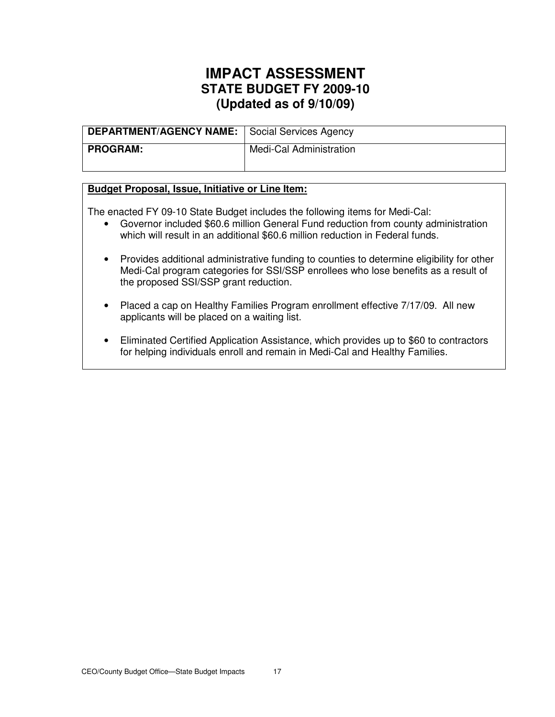| DEPARTMENT/AGENCY NAME: Social Services Agency |                         |
|------------------------------------------------|-------------------------|
| <b>PROGRAM:</b>                                | Medi-Cal Administration |

### **Budget Proposal, Issue, Initiative or Line Item:**

The enacted FY 09-10 State Budget includes the following items for Medi-Cal:

- Governor included \$60.6 million General Fund reduction from county administration which will result in an additional \$60.6 million reduction in Federal funds.
- Provides additional administrative funding to counties to determine eligibility for other Medi-Cal program categories for SSI/SSP enrollees who lose benefits as a result of the proposed SSI/SSP grant reduction.
- Placed a cap on Healthy Families Program enrollment effective 7/17/09. All new applicants will be placed on a waiting list.
- Eliminated Certified Application Assistance, which provides up to \$60 to contractors for helping individuals enroll and remain in Medi-Cal and Healthy Families.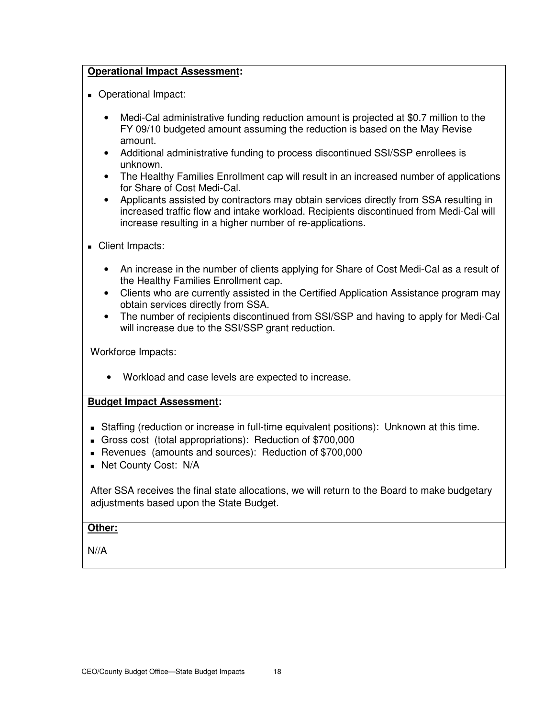## **Operational Impact Assessment:**

- **Derational Impact:** 
	- Medi-Cal administrative funding reduction amount is projected at \$0.7 million to the FY 09/10 budgeted amount assuming the reduction is based on the May Revise amount.
	- Additional administrative funding to process discontinued SSI/SSP enrollees is unknown.
	- The Healthy Families Enrollment cap will result in an increased number of applications for Share of Cost Medi-Cal.
	- Applicants assisted by contractors may obtain services directly from SSA resulting in increased traffic flow and intake workload. Recipients discontinued from Medi-Cal will increase resulting in a higher number of re-applications.
- Client Impacts:
	- An increase in the number of clients applying for Share of Cost Medi-Cal as a result of the Healthy Families Enrollment cap.
	- Clients who are currently assisted in the Certified Application Assistance program may obtain services directly from SSA.
	- The number of recipients discontinued from SSI/SSP and having to apply for Medi-Cal will increase due to the SSI/SSP grant reduction.

Workforce Impacts:

• Workload and case levels are expected to increase.

## **Budget Impact Assessment:**

- Staffing (reduction or increase in full-time equivalent positions): Unknown at this time.
- Gross cost (total appropriations): Reduction of \$700,000
- Revenues (amounts and sources): Reduction of \$700,000
- **Net County Cost: N/A**

After SSA receives the final state allocations, we will return to the Board to make budgetary adjustments based upon the State Budget.

## **Other:**

 $N//A$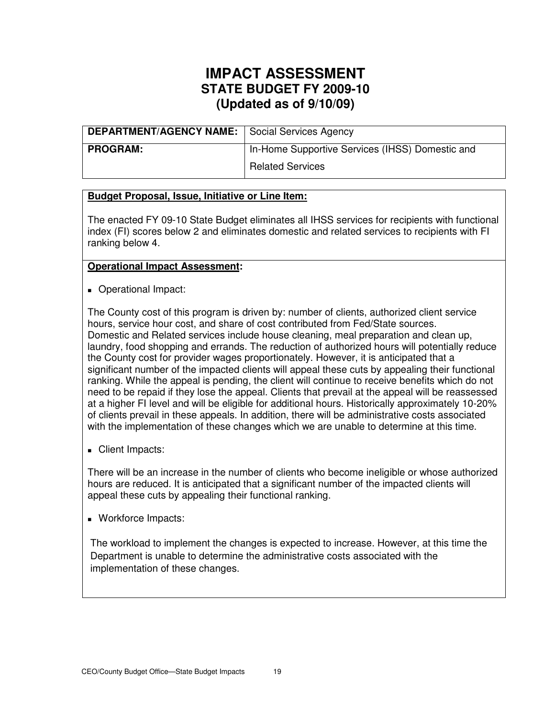| <b>DEPARTMENT/AGENCY NAME:</b> Social Services Agency |                                                 |
|-------------------------------------------------------|-------------------------------------------------|
| <b>PROGRAM:</b>                                       | In-Home Supportive Services (IHSS) Domestic and |
|                                                       | <b>Related Services</b>                         |

## **Budget Proposal, Issue, Initiative or Line Item:**

The enacted FY 09-10 State Budget eliminates all IHSS services for recipients with functional index (FI) scores below 2 and eliminates domestic and related services to recipients with FI ranking below 4.

## **Operational Impact Assessment:**

**Dearational Impact:** 

The County cost of this program is driven by: number of clients, authorized client service hours, service hour cost, and share of cost contributed from Fed/State sources. Domestic and Related services include house cleaning, meal preparation and clean up, laundry, food shopping and errands. The reduction of authorized hours will potentially reduce the County cost for provider wages proportionately. However, it is anticipated that a significant number of the impacted clients will appeal these cuts by appealing their functional ranking. While the appeal is pending, the client will continue to receive benefits which do not need to be repaid if they lose the appeal. Clients that prevail at the appeal will be reassessed at a higher FI level and will be eligible for additional hours. Historically approximately 10-20% of clients prevail in these appeals. In addition, there will be administrative costs associated with the implementation of these changes which we are unable to determine at this time.

Client Impacts:

There will be an increase in the number of clients who become ineligible or whose authorized hours are reduced. It is anticipated that a significant number of the impacted clients will appeal these cuts by appealing their functional ranking.

**Workforce Impacts:** 

The workload to implement the changes is expected to increase. However, at this time the Department is unable to determine the administrative costs associated with the implementation of these changes.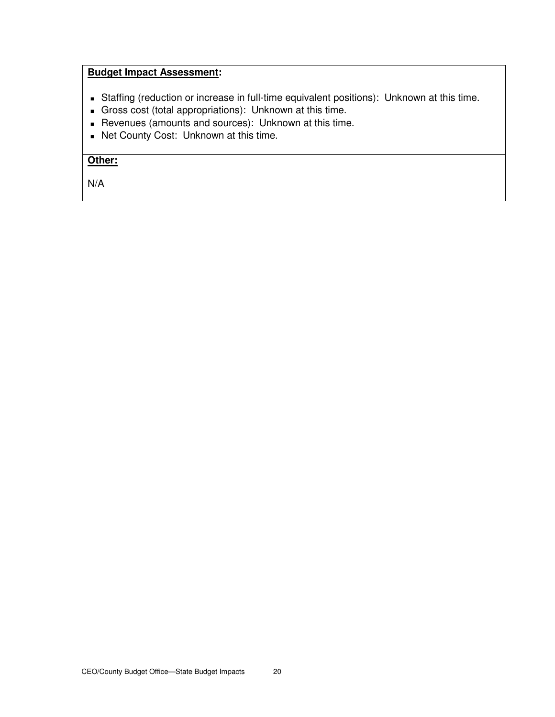## **Budget Impact Assessment:**

- Staffing (reduction or increase in full-time equivalent positions): Unknown at this time.
- Gross cost (total appropriations): Unknown at this time.
- Revenues (amounts and sources): Unknown at this time.
- Net County Cost: Unknown at this time.

## **Other:**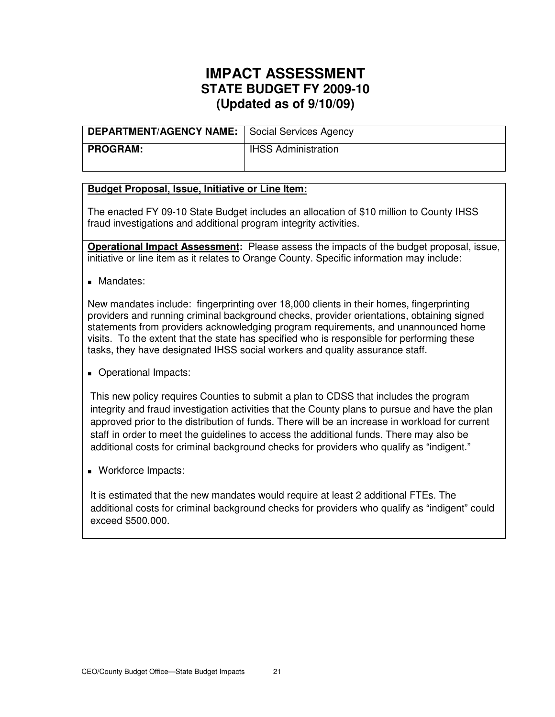| DEPARTMENT/AGENCY NAME: Social Services Agency |                            |
|------------------------------------------------|----------------------------|
| <b>PROGRAM:</b>                                | <b>IHSS Administration</b> |

### **Budget Proposal, Issue, Initiative or Line Item:**

The enacted FY 09-10 State Budget includes an allocation of \$10 million to County IHSS fraud investigations and additional program integrity activities.

**Operational Impact Assessment:** Please assess the impacts of the budget proposal, issue, initiative or line item as it relates to Orange County. Specific information may include:

**Mandates:** 

New mandates include: fingerprinting over 18,000 clients in their homes, fingerprinting providers and running criminal background checks, provider orientations, obtaining signed statements from providers acknowledging program requirements, and unannounced home visits. To the extent that the state has specified who is responsible for performing these tasks, they have designated IHSS social workers and quality assurance staff.

**Operational Impacts:** 

This new policy requires Counties to submit a plan to CDSS that includes the program integrity and fraud investigation activities that the County plans to pursue and have the plan approved prior to the distribution of funds. There will be an increase in workload for current staff in order to meet the guidelines to access the additional funds. There may also be additional costs for criminal background checks for providers who qualify as "indigent."

**Workforce Impacts:** 

It is estimated that the new mandates would require at least 2 additional FTEs. The additional costs for criminal background checks for providers who qualify as "indigent" could exceed \$500,000.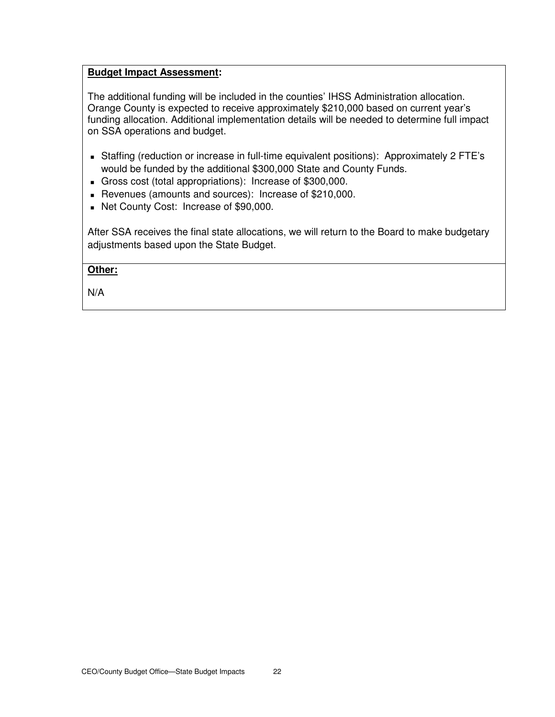## **Budget Impact Assessment:**

The additional funding will be included in the counties' IHSS Administration allocation. Orange County is expected to receive approximately \$210,000 based on current year's funding allocation. Additional implementation details will be needed to determine full impact on SSA operations and budget.

- Staffing (reduction or increase in full-time equivalent positions): Approximately 2 FTE's would be funded by the additional \$300,000 State and County Funds.
- Gross cost (total appropriations): Increase of \$300,000.
- Revenues (amounts and sources): Increase of \$210,000.
- Net County Cost: Increase of \$90,000.

After SSA receives the final state allocations, we will return to the Board to make budgetary adjustments based upon the State Budget.

### **Other:**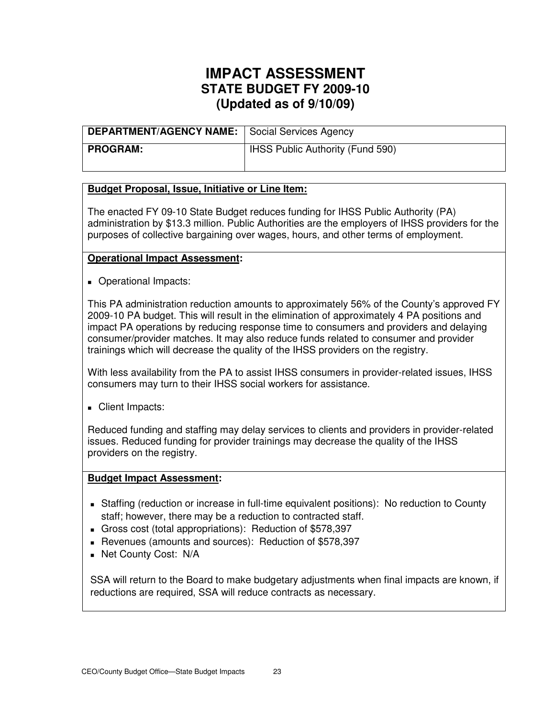| <b>DEPARTMENT/AGENCY NAME:</b> Social Services Agency |                                         |
|-------------------------------------------------------|-----------------------------------------|
| <b>PROGRAM:</b>                                       | <b>IHSS Public Authority (Fund 590)</b> |

### **Budget Proposal, Issue, Initiative or Line Item:**

The enacted FY 09-10 State Budget reduces funding for IHSS Public Authority (PA) administration by \$13.3 million. Public Authorities are the employers of IHSS providers for the purposes of collective bargaining over wages, hours, and other terms of employment.

### **Operational Impact Assessment:**

**Operational Impacts:** 

This PA administration reduction amounts to approximately 56% of the County's approved FY 2009-10 PA budget. This will result in the elimination of approximately 4 PA positions and impact PA operations by reducing response time to consumers and providers and delaying consumer/provider matches. It may also reduce funds related to consumer and provider trainings which will decrease the quality of the IHSS providers on the registry.

With less availability from the PA to assist IHSS consumers in provider-related issues, IHSS consumers may turn to their IHSS social workers for assistance.

Client Impacts:

Reduced funding and staffing may delay services to clients and providers in provider-related issues. Reduced funding for provider trainings may decrease the quality of the IHSS providers on the registry.

#### **Budget Impact Assessment:**

- Staffing (reduction or increase in full-time equivalent positions): No reduction to County staff; however, there may be a reduction to contracted staff.
- Gross cost (total appropriations): Reduction of \$578,397
- Revenues (amounts and sources): Reduction of \$578,397
- **Net County Cost: N/A**

SSA will return to the Board to make budgetary adjustments when final impacts are known, if reductions are required, SSA will reduce contracts as necessary.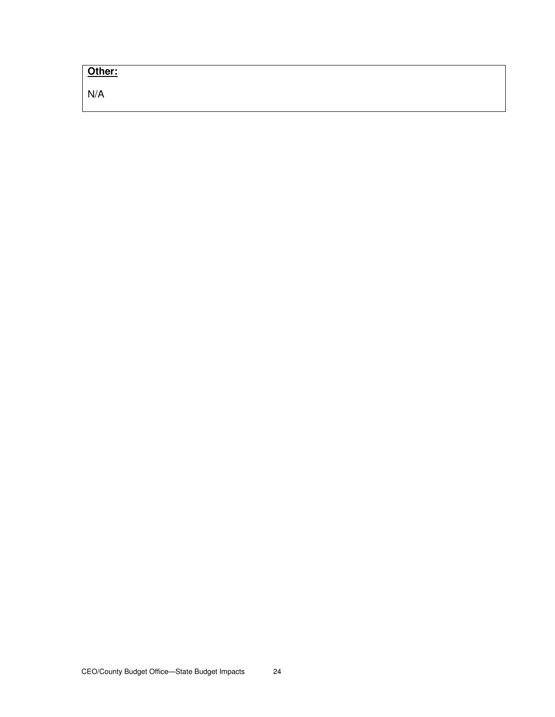## **Other:**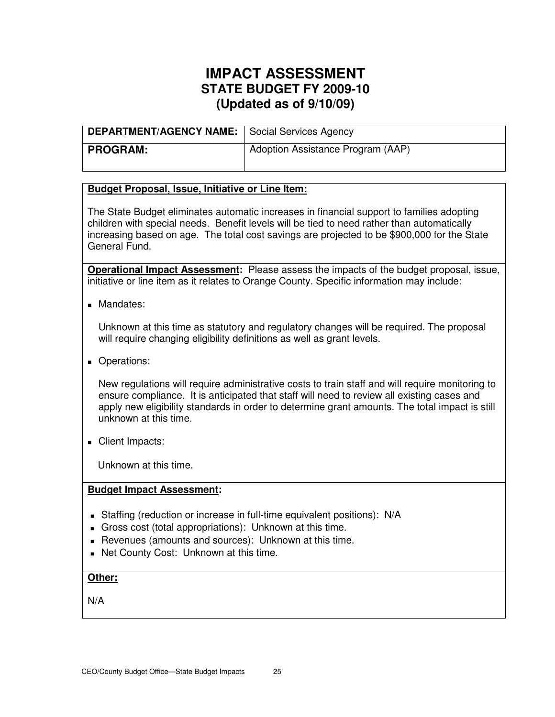| DEPARTMENT/AGENCY NAME: Social Services Agency |                                   |
|------------------------------------------------|-----------------------------------|
| <b>PROGRAM:</b>                                | Adoption Assistance Program (AAP) |

## **Budget Proposal, Issue, Initiative or Line Item:**

The State Budget eliminates automatic increases in financial support to families adopting children with special needs. Benefit levels will be tied to need rather than automatically increasing based on age. The total cost savings are projected to be \$900,000 for the State General Fund.

**Operational Impact Assessment:** Please assess the impacts of the budget proposal, issue, initiative or line item as it relates to Orange County. Specific information may include:

**Mandates:** 

Unknown at this time as statutory and regulatory changes will be required. The proposal will require changing eligibility definitions as well as grant levels.

**Operations:** 

New regulations will require administrative costs to train staff and will require monitoring to ensure compliance. It is anticipated that staff will need to review all existing cases and apply new eligibility standards in order to determine grant amounts. The total impact is still unknown at this time.

Client Impacts:

Unknown at this time.

### **Budget Impact Assessment:**

- Staffing (reduction or increase in full-time equivalent positions): N/A
- Gross cost (total appropriations): Unknown at this time.
- Revenues (amounts and sources): Unknown at this time.
- Net County Cost: Unknown at this time.

## **Other:**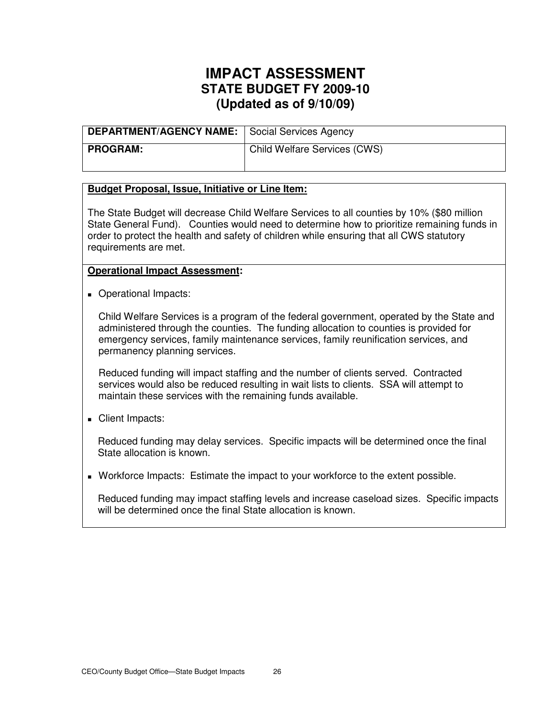| <b>DEPARTMENT/AGENCY NAME:</b>   Social Services Agency |                                           |
|---------------------------------------------------------|-------------------------------------------|
| <b>PROGRAM:</b>                                         | <sup>I</sup> Child Welfare Services (CWS) |

### **Budget Proposal, Issue, Initiative or Line Item:**

The State Budget will decrease Child Welfare Services to all counties by 10% (\$80 million State General Fund). Counties would need to determine how to prioritize remaining funds in order to protect the health and safety of children while ensuring that all CWS statutory requirements are met.

### **Operational Impact Assessment:**

**Operational Impacts:** 

Child Welfare Services is a program of the federal government, operated by the State and administered through the counties. The funding allocation to counties is provided for emergency services, family maintenance services, family reunification services, and permanency planning services.

Reduced funding will impact staffing and the number of clients served. Contracted services would also be reduced resulting in wait lists to clients. SSA will attempt to maintain these services with the remaining funds available.

Client Impacts:

Reduced funding may delay services. Specific impacts will be determined once the final State allocation is known.

Workforce Impacts: Estimate the impact to your workforce to the extent possible.

Reduced funding may impact staffing levels and increase caseload sizes. Specific impacts will be determined once the final State allocation is known.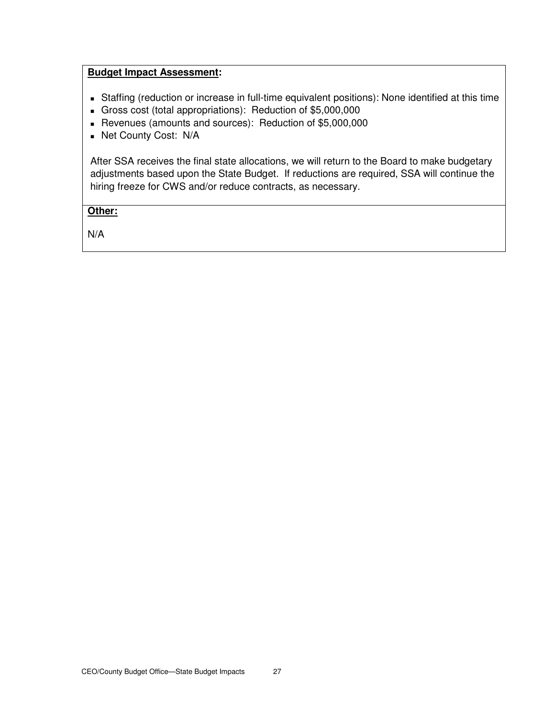### **Budget Impact Assessment:**

- Staffing (reduction or increase in full-time equivalent positions): None identified at this time
- Gross cost (total appropriations): Reduction of \$5,000,000
- Revenues (amounts and sources): Reduction of \$5,000,000
- Net County Cost: N/A

After SSA receives the final state allocations, we will return to the Board to make budgetary adjustments based upon the State Budget. If reductions are required, SSA will continue the hiring freeze for CWS and/or reduce contracts, as necessary.

## **Other:**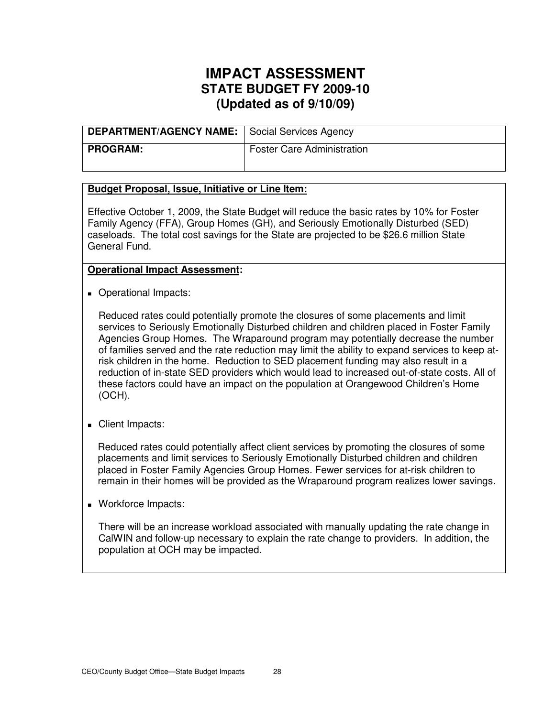| <b>DEPARTMENT/AGENCY NAME:</b> Social Services Agency |                                   |
|-------------------------------------------------------|-----------------------------------|
| <b>PROGRAM:</b>                                       | <b>Foster Care Administration</b> |

### **Budget Proposal, Issue, Initiative or Line Item:**

Effective October 1, 2009, the State Budget will reduce the basic rates by 10% for Foster Family Agency (FFA), Group Homes (GH), and Seriously Emotionally Disturbed (SED) caseloads. The total cost savings for the State are projected to be \$26.6 million State General Fund.

#### **Operational Impact Assessment:**

Operational Impacts:

Reduced rates could potentially promote the closures of some placements and limit services to Seriously Emotionally Disturbed children and children placed in Foster Family Agencies Group Homes. The Wraparound program may potentially decrease the number of families served and the rate reduction may limit the ability to expand services to keep atrisk children in the home. Reduction to SED placement funding may also result in a reduction of in-state SED providers which would lead to increased out-of-state costs. All of these factors could have an impact on the population at Orangewood Children's Home (OCH).

Client Impacts:

Reduced rates could potentially affect client services by promoting the closures of some placements and limit services to Seriously Emotionally Disturbed children and children placed in Foster Family Agencies Group Homes. Fewer services for at-risk children to remain in their homes will be provided as the Wraparound program realizes lower savings.

**Workforce Impacts:** 

There will be an increase workload associated with manually updating the rate change in CalWIN and follow-up necessary to explain the rate change to providers. In addition, the population at OCH may be impacted.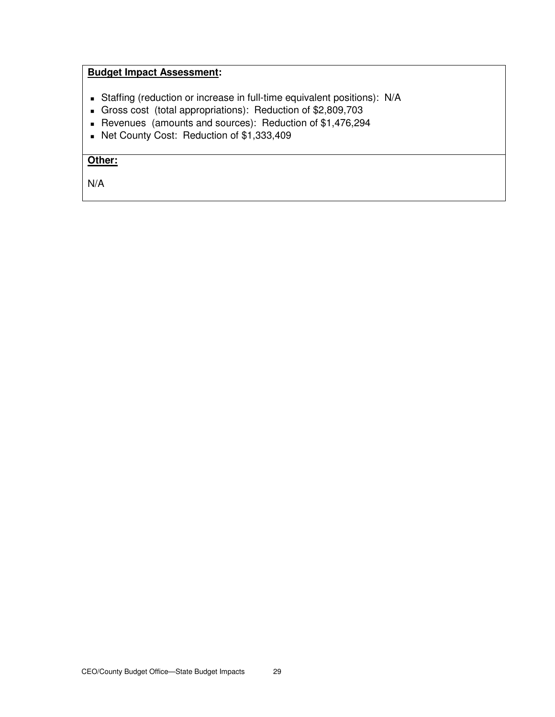## **Budget Impact Assessment:**

- Staffing (reduction or increase in full-time equivalent positions): N/A
- Gross cost (total appropriations): Reduction of \$2,809,703
- Revenues (amounts and sources): Reduction of \$1,476,294
- Net County Cost: Reduction of \$1,333,409

## **Other:**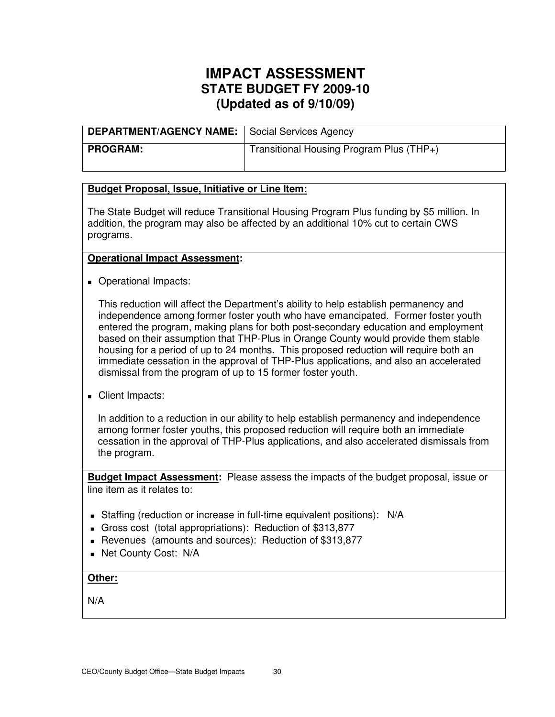| DEPARTMENT/AGENCY NAME:   Social Services Agency |                                          |
|--------------------------------------------------|------------------------------------------|
| PROGRAM:                                         | Transitional Housing Program Plus (THP+) |

### **Budget Proposal, Issue, Initiative or Line Item:**

The State Budget will reduce Transitional Housing Program Plus funding by \$5 million. In addition, the program may also be affected by an additional 10% cut to certain CWS programs.

### **Operational Impact Assessment:**

**Operational Impacts:** 

This reduction will affect the Department's ability to help establish permanency and independence among former foster youth who have emancipated. Former foster youth entered the program, making plans for both post-secondary education and employment based on their assumption that THP-Plus in Orange County would provide them stable housing for a period of up to 24 months. This proposed reduction will require both an immediate cessation in the approval of THP-Plus applications, and also an accelerated dismissal from the program of up to 15 former foster youth.

Client Impacts:

In addition to a reduction in our ability to help establish permanency and independence among former foster youths, this proposed reduction will require both an immediate cessation in the approval of THP-Plus applications, and also accelerated dismissals from the program.

**Budget Impact Assessment:** Please assess the impacts of the budget proposal, issue or line item as it relates to:

- Staffing (reduction or increase in full-time equivalent positions): N/A
- Gross cost (total appropriations): Reduction of \$313,877
- Revenues (amounts and sources): Reduction of \$313,877
- **Net County Cost: N/A**

## **Other:**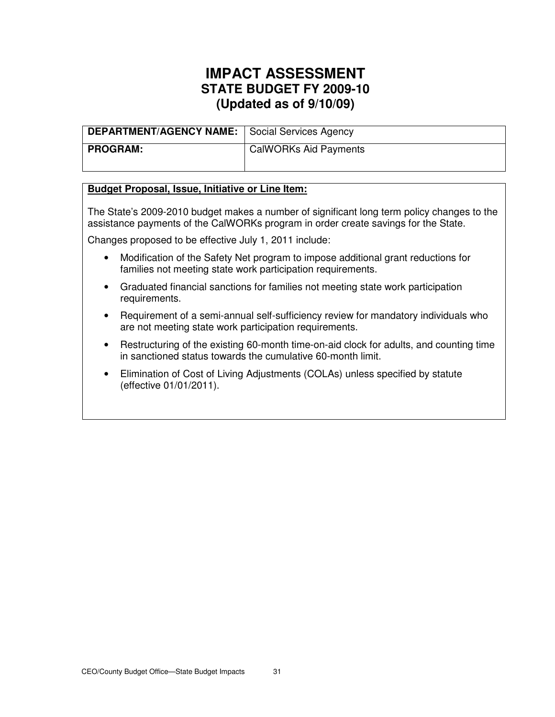| <b>DEPARTMENT/AGENCY NAME:</b>   Social Services Agency |                       |
|---------------------------------------------------------|-----------------------|
| <b>PROGRAM:</b>                                         | CalWORKs Aid Payments |

### **Budget Proposal, Issue, Initiative or Line Item:**

The State's 2009-2010 budget makes a number of significant long term policy changes to the assistance payments of the CalWORKs program in order create savings for the State.

Changes proposed to be effective July 1, 2011 include:

- Modification of the Safety Net program to impose additional grant reductions for families not meeting state work participation requirements.
- Graduated financial sanctions for families not meeting state work participation requirements.
- Requirement of a semi-annual self-sufficiency review for mandatory individuals who are not meeting state work participation requirements.
- Restructuring of the existing 60-month time-on-aid clock for adults, and counting time in sanctioned status towards the cumulative 60-month limit.
- Elimination of Cost of Living Adjustments (COLAs) unless specified by statute (effective 01/01/2011).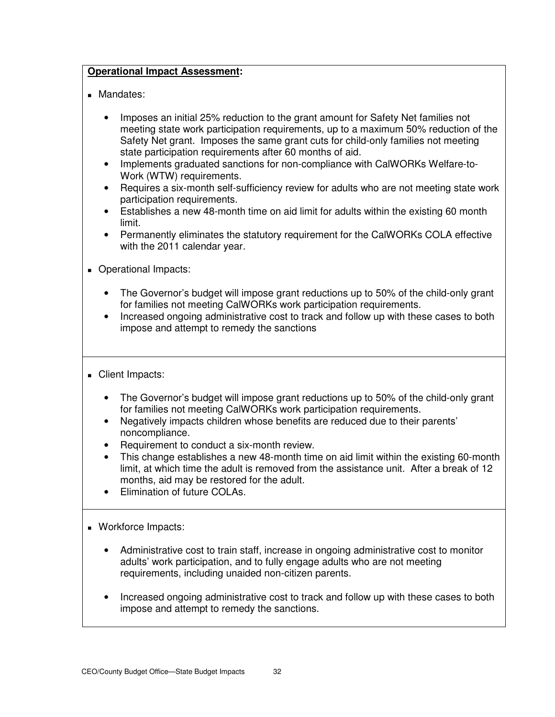## **Operational Impact Assessment:**

- **Mandates:** 
	- Imposes an initial 25% reduction to the grant amount for Safety Net families not meeting state work participation requirements, up to a maximum 50% reduction of the Safety Net grant. Imposes the same grant cuts for child-only families not meeting state participation requirements after 60 months of aid.
	- Implements graduated sanctions for non-compliance with CalWORKs Welfare-to-Work (WTW) requirements.
	- Requires a six-month self-sufficiency review for adults who are not meeting state work participation requirements.
	- Establishes a new 48-month time on aid limit for adults within the existing 60 month limit.
	- Permanently eliminates the statutory requirement for the CalWORKs COLA effective with the 2011 calendar year.
- **Operational Impacts:** 
	- The Governor's budget will impose grant reductions up to 50% of the child-only grant for families not meeting CalWORKs work participation requirements.
	- Increased ongoing administrative cost to track and follow up with these cases to both impose and attempt to remedy the sanctions
- Client Impacts:
	- The Governor's budget will impose grant reductions up to 50% of the child-only grant for families not meeting CalWORKs work participation requirements.
	- Negatively impacts children whose benefits are reduced due to their parents' noncompliance.
	- Requirement to conduct a six-month review.
	- This change establishes a new 48-month time on aid limit within the existing 60-month limit, at which time the adult is removed from the assistance unit. After a break of 12 months, aid may be restored for the adult.
	- Elimination of future COLAs.
- **Workforce Impacts:** 
	- Administrative cost to train staff, increase in ongoing administrative cost to monitor adults' work participation, and to fully engage adults who are not meeting requirements, including unaided non-citizen parents.
	- Increased ongoing administrative cost to track and follow up with these cases to both impose and attempt to remedy the sanctions.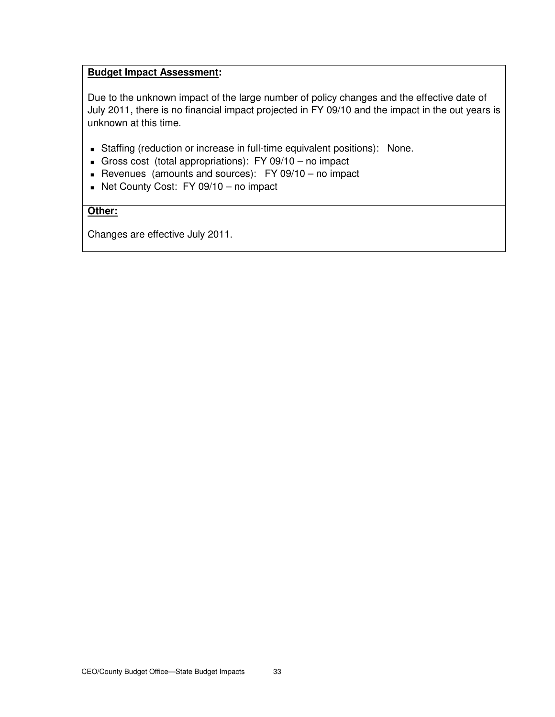## **Budget Impact Assessment:**

Due to the unknown impact of the large number of policy changes and the effective date of July 2011, there is no financial impact projected in FY 09/10 and the impact in the out years is unknown at this time.

- Staffing (reduction or increase in full-time equivalent positions): None.
- Gross cost (total appropriations): FY 09/10 no impact
- Revenues (amounts and sources):  $FY$  09/10 no impact
- Net County Cost:  $FY$  09/10 no impact

## **Other:**

Changes are effective July 2011.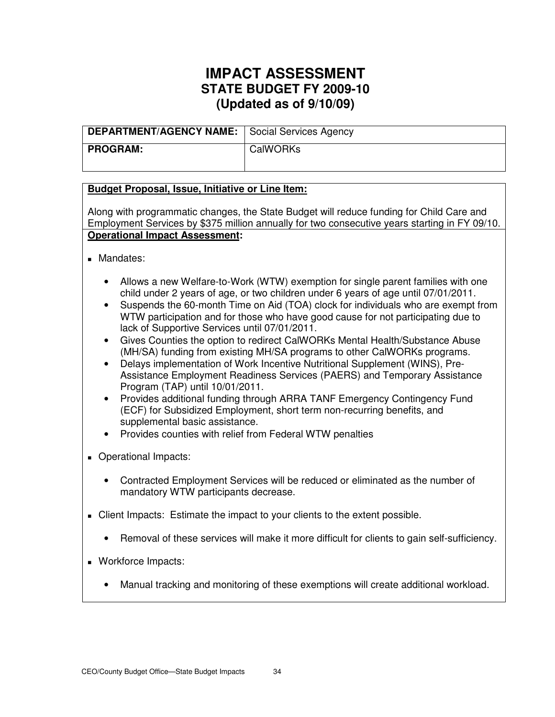| <b>DEPARTMENT/AGENCY NAME:</b>   Social Services Agency |          |
|---------------------------------------------------------|----------|
| <b>PROGRAM:</b>                                         | CalWORKs |

## **Budget Proposal, Issue, Initiative or Line Item:**

Along with programmatic changes, the State Budget will reduce funding for Child Care and Employment Services by \$375 million annually for two consecutive years starting in FY 09/10. **Operational Impact Assessment:** 

- **Mandates:** 
	- Allows a new Welfare-to-Work (WTW) exemption for single parent families with one child under 2 years of age, or two children under 6 years of age until 07/01/2011.
	- Suspends the 60-month Time on Aid (TOA) clock for individuals who are exempt from WTW participation and for those who have good cause for not participating due to lack of Supportive Services until 07/01/2011.
	- Gives Counties the option to redirect CalWORKs Mental Health/Substance Abuse (MH/SA) funding from existing MH/SA programs to other CalWORKs programs.
	- Delays implementation of Work Incentive Nutritional Supplement (WINS), Pre-Assistance Employment Readiness Services (PAERS) and Temporary Assistance Program (TAP) until 10/01/2011.
	- Provides additional funding through ARRA TANF Emergency Contingency Fund (ECF) for Subsidized Employment, short term non-recurring benefits, and supplemental basic assistance.
	- Provides counties with relief from Federal WTW penalties
- **Derational Impacts:** 
	- Contracted Employment Services will be reduced or eliminated as the number of mandatory WTW participants decrease.
- Client Impacts: Estimate the impact to your clients to the extent possible.
	- Removal of these services will make it more difficult for clients to gain self-sufficiency.
- Workforce Impacts:
	- Manual tracking and monitoring of these exemptions will create additional workload.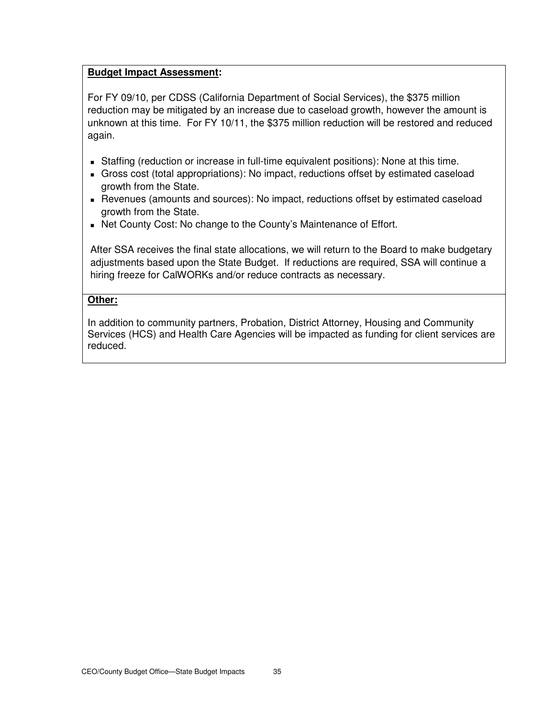## **Budget Impact Assessment:**

For FY 09/10, per CDSS (California Department of Social Services), the \$375 million reduction may be mitigated by an increase due to caseload growth, however the amount is unknown at this time. For FY 10/11, the \$375 million reduction will be restored and reduced again.

- Staffing (reduction or increase in full-time equivalent positions): None at this time.
- Gross cost (total appropriations): No impact, reductions offset by estimated caseload growth from the State.
- Revenues (amounts and sources): No impact, reductions offset by estimated caseload growth from the State.
- Net County Cost: No change to the County's Maintenance of Effort.

After SSA receives the final state allocations, we will return to the Board to make budgetary adjustments based upon the State Budget. If reductions are required, SSA will continue a hiring freeze for CalWORKs and/or reduce contracts as necessary.

## **Other:**

In addition to community partners, Probation, District Attorney, Housing and Community Services (HCS) and Health Care Agencies will be impacted as funding for client services are reduced.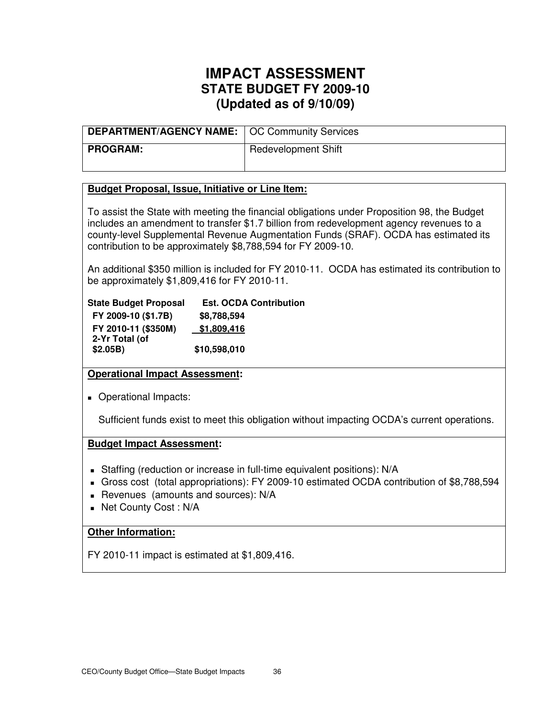| <b>DEPARTMENT/AGENCY NAME:   OC Community Services</b> |                            |
|--------------------------------------------------------|----------------------------|
| <b>PROGRAM:</b>                                        | <b>Redevelopment Shift</b> |

### **Budget Proposal, Issue, Initiative or Line Item:**

To assist the State with meeting the financial obligations under Proposition 98, the Budget includes an amendment to transfer \$1.7 billion from redevelopment agency revenues to a county-level Supplemental Revenue Augmentation Funds (SRAF). OCDA has estimated its contribution to be approximately \$8,788,594 for FY 2009-10.

An additional \$350 million is included for FY 2010-11. OCDA has estimated its contribution to be approximately \$1,809,416 for FY 2010-11.

| <b>State Budget Proposal</b> | <b>Est. OCDA Contribution</b> |
|------------------------------|-------------------------------|
| FY 2009-10 (\$1.7B)          | \$8,788,594                   |
| FY 2010-11 (\$350M)          | \$1,809,416                   |
| 2-Yr Total (of               |                               |
| \$2.05B)                     | \$10,598,010                  |

## **Operational Impact Assessment:**

**Derational Impacts:** 

Sufficient funds exist to meet this obligation without impacting OCDA's current operations.

#### **Budget Impact Assessment:**

- Staffing (reduction or increase in full-time equivalent positions): N/A
- Gross cost (total appropriations): FY 2009-10 estimated OCDA contribution of \$8,788,594
- Revenues (amounts and sources): N/A
- Net County Cost : N/A

### **Other Information:**

FY 2010-11 impact is estimated at \$1,809,416.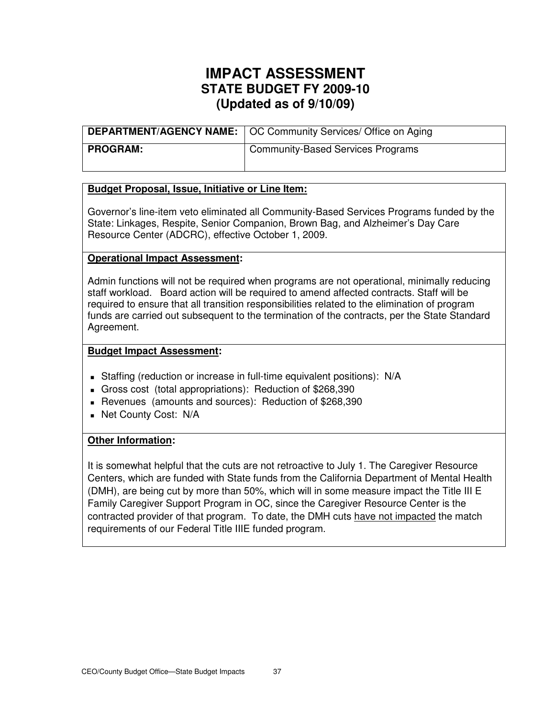|            | <b>DEPARTMENT/AGENCY NAME:</b>   OC Community Services/ Office on Aging |
|------------|-------------------------------------------------------------------------|
| I PROGRAM: | <b>Community-Based Services Programs</b>                                |

### **Budget Proposal, Issue, Initiative or Line Item:**

Governor's line-item veto eliminated all Community-Based Services Programs funded by the State: Linkages, Respite, Senior Companion, Brown Bag, and Alzheimer's Day Care Resource Center (ADCRC), effective October 1, 2009.

### **Operational Impact Assessment:**

Admin functions will not be required when programs are not operational, minimally reducing staff workload. Board action will be required to amend affected contracts. Staff will be required to ensure that all transition responsibilities related to the elimination of program funds are carried out subsequent to the termination of the contracts, per the State Standard Agreement.

### **Budget Impact Assessment:**

- Staffing (reduction or increase in full-time equivalent positions): N/A
- Gross cost (total appropriations): Reduction of \$268,390
- Revenues (amounts and sources): Reduction of \$268,390
- **Net County Cost: N/A**

## **Other Information:**

It is somewhat helpful that the cuts are not retroactive to July 1. The Caregiver Resource Centers, which are funded with State funds from the California Department of Mental Health (DMH), are being cut by more than 50%, which will in some measure impact the Title III E Family Caregiver Support Program in OC, since the Caregiver Resource Center is the contracted provider of that program. To date, the DMH cuts have not impacted the match requirements of our Federal Title IIIE funded program.